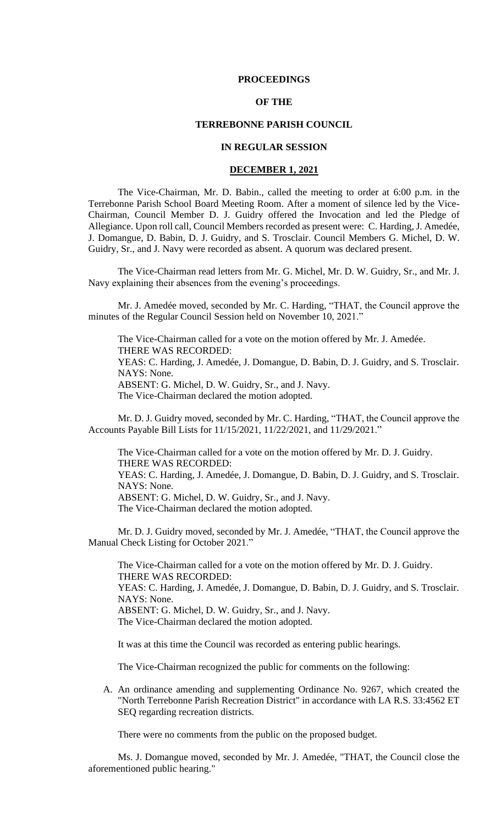#### **PROCEEDINGS**

### **OF THE**

### **TERREBONNE PARISH COUNCIL**

# **IN REGULAR SESSION**

### **DECEMBER 1, 2021**

The Vice-Chairman, Mr. D. Babin., called the meeting to order at 6:00 p.m. in the Terrebonne Parish School Board Meeting Room. After a moment of silence led by the Vice-Chairman, Council Member D. J. Guidry offered the Invocation and led the Pledge of Allegiance. Upon roll call, Council Members recorded as present were: C. Harding, J. Amedée, J. Domangue, D. Babin, D. J. Guidry, and S. Trosclair. Council Members G. Michel, D. W. Guidry, Sr., and J. Navy were recorded as absent. A quorum was declared present.

The Vice-Chairman read letters from Mr. G. Michel, Mr. D. W. Guidry, Sr., and Mr. J. Navy explaining their absences from the evening's proceedings.

Mr. J. Amedée moved, seconded by Mr. C. Harding, "THAT, the Council approve the minutes of the Regular Council Session held on November 10, 2021."

The Vice-Chairman called for a vote on the motion offered by Mr. J. Amedée. THERE WAS RECORDED: YEAS: C. Harding, J. Amedée, J. Domangue, D. Babin, D. J. Guidry, and S. Trosclair. NAYS: None. ABSENT: G. Michel, D. W. Guidry, Sr., and J. Navy.

The Vice-Chairman declared the motion adopted.

Mr. D. J. Guidry moved, seconded by Mr. C. Harding, "THAT, the Council approve the Accounts Payable Bill Lists for 11/15/2021, 11/22/2021, and 11/29/2021."

The Vice-Chairman called for a vote on the motion offered by Mr. D. J. Guidry. THERE WAS RECORDED:

YEAS: C. Harding, J. Amedée, J. Domangue, D. Babin, D. J. Guidry, and S. Trosclair. NAYS: None.

ABSENT: G. Michel, D. W. Guidry, Sr., and J. Navy.

The Vice-Chairman declared the motion adopted.

Mr. D. J. Guidry moved, seconded by Mr. J. Amedée, "THAT, the Council approve the Manual Check Listing for October 2021."

The Vice-Chairman called for a vote on the motion offered by Mr. D. J. Guidry. THERE WAS RECORDED: YEAS: C. Harding, J. Amedée, J. Domangue, D. Babin, D. J. Guidry, and S. Trosclair. NAYS: None. ABSENT: G. Michel, D. W. Guidry, Sr., and J. Navy. The Vice-Chairman declared the motion adopted.

It was at this time the Council was recorded as entering public hearings.

The Vice-Chairman recognized the public for comments on the following:

A. An ordinance amending and supplementing Ordinance No. 9267, which created the "North Terrebonne Parish Recreation District" in accordance with LA R.S. 33:4562 ET SEQ regarding recreation districts.

There were no comments from the public on the proposed budget.

Ms. J. Domangue moved, seconded by Mr. J. Amedée, "THAT, the Council close the aforementioned public hearing."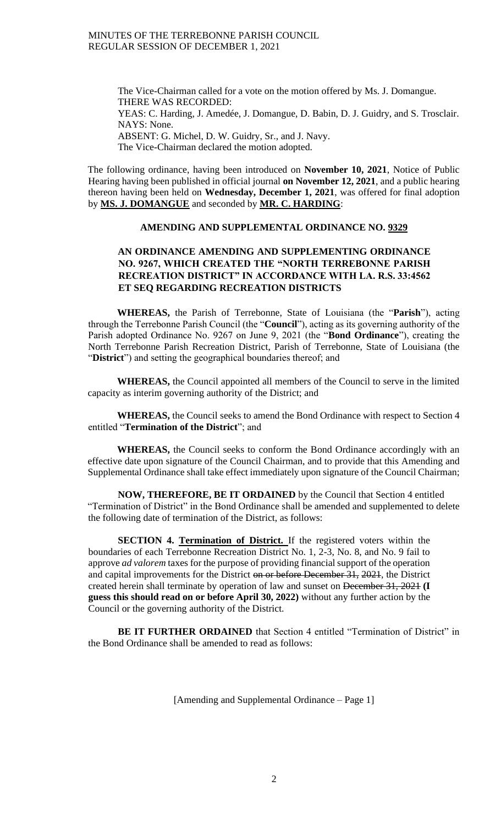The Vice-Chairman called for a vote on the motion offered by Ms. J. Domangue. THERE WAS RECORDED: YEAS: C. Harding, J. Amedée, J. Domangue, D. Babin, D. J. Guidry, and S. Trosclair. NAYS: None. ABSENT: G. Michel, D. W. Guidry, Sr., and J. Navy. The Vice-Chairman declared the motion adopted.

The following ordinance, having been introduced on **November 10, 2021**, Notice of Public Hearing having been published in official journal **on November 12, 2021**, and a public hearing thereon having been held on **Wednesday, December 1, 2021**, was offered for final adoption by **MS. J. DOMANGUE** and seconded by **MR. C. HARDING**:

### **AMENDING AND SUPPLEMENTAL ORDINANCE NO. 9329**

# **AN ORDINANCE AMENDING AND SUPPLEMENTING ORDINANCE NO. 9267, WHICH CREATED THE "NORTH TERREBONNE PARISH RECREATION DISTRICT" IN ACCORDANCE WITH LA. R.S. 33:4562 ET SEQ REGARDING RECREATION DISTRICTS**

**WHEREAS,** the Parish of Terrebonne, State of Louisiana (the "**Parish**"), acting through the Terrebonne Parish Council (the "**Council**"), acting as its governing authority of the Parish adopted Ordinance No. 9267 on June 9, 2021 (the "**Bond Ordinance**"), creating the North Terrebonne Parish Recreation District, Parish of Terrebonne, State of Louisiana (the "**District**") and setting the geographical boundaries thereof; and

**WHEREAS,** the Council appointed all members of the Council to serve in the limited capacity as interim governing authority of the District; and

**WHEREAS,** the Council seeks to amend the Bond Ordinance with respect to Section 4 entitled "**Termination of the District**"; and

**WHEREAS,** the Council seeks to conform the Bond Ordinance accordingly with an effective date upon signature of the Council Chairman, and to provide that this Amending and Supplemental Ordinance shall take effect immediately upon signature of the Council Chairman;

**NOW, THEREFORE, BE IT ORDAINED** by the Council that Section 4 entitled "Termination of District" in the Bond Ordinance shall be amended and supplemented to delete the following date of termination of the District, as follows:

**SECTION 4. Termination of District.** If the registered voters within the boundaries of each Terrebonne Recreation District No. 1, 2-3, No. 8, and No. 9 fail to approve *ad valorem* taxes for the purpose of providing financial support of the operation and capital improvements for the District on or before December 31, 2021, the District created herein shall terminate by operation of law and sunset on December 31, 2021 **(I guess this should read on or before April 30, 2022)** without any further action by the Council or the governing authority of the District.

**BE IT FURTHER ORDAINED** that Section 4 entitled "Termination of District" in the Bond Ordinance shall be amended to read as follows:

[Amending and Supplemental Ordinance – Page 1]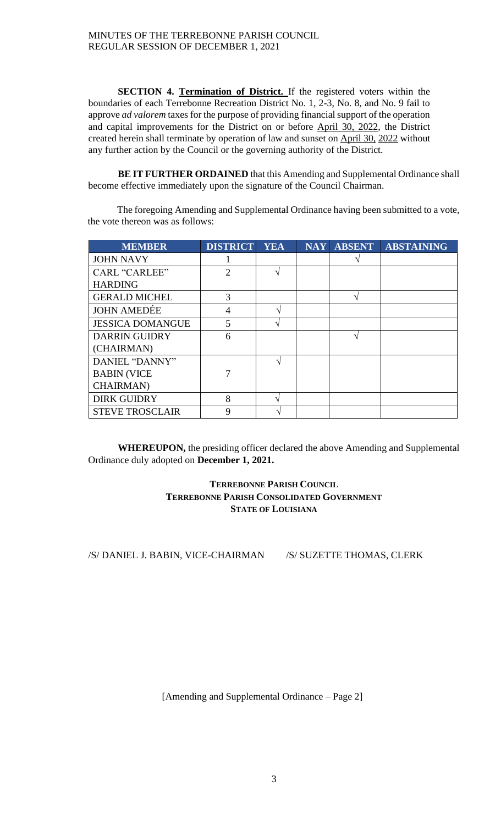**SECTION 4. Termination of District.** If the registered voters within the boundaries of each Terrebonne Recreation District No. 1, 2-3, No. 8, and No. 9 fail to approve *ad valorem* taxes for the purpose of providing financial support of the operation and capital improvements for the District on or before April 30, 2022, the District created herein shall terminate by operation of law and sunset on April 30, 2022 without any further action by the Council or the governing authority of the District.

**BE IT FURTHER ORDAINED** that this Amending and Supplemental Ordinance shall become effective immediately upon the signature of the Council Chairman.

The foregoing Amending and Supplemental Ordinance having been submitted to a vote, the vote thereon was as follows:

| <b>MEMBER</b>           | <b>DISTRICT</b> | <b>YEA</b>     | <b>NAY</b> | <b>ABSENT</b> | <b>ABSTAINING</b> |
|-------------------------|-----------------|----------------|------------|---------------|-------------------|
| <b>JOHN NAVY</b>        |                 |                |            |               |                   |
| <b>CARL "CARLEE"</b>    | $\mathfrak{D}$  |                |            |               |                   |
| <b>HARDING</b>          |                 |                |            |               |                   |
| <b>GERALD MICHEL</b>    | 3               |                |            | ٦             |                   |
| <b>JOHN AMEDÉE</b>      | $\overline{4}$  | ٦              |            |               |                   |
| <b>JESSICA DOMANGUE</b> | 5               | $\mathbf \tau$ |            |               |                   |
| <b>DARRIN GUIDRY</b>    | 6               |                |            |               |                   |
| (CHAIRMAN)              |                 |                |            |               |                   |
| DANIEL "DANNY"          |                 |                |            |               |                   |
| <b>BABIN (VICE</b>      |                 |                |            |               |                   |
| <b>CHAIRMAN</b> )       |                 |                |            |               |                   |
| <b>DIRK GUIDRY</b>      | 8               | ٦              |            |               |                   |
| <b>STEVE TROSCLAIR</b>  | 9               |                |            |               |                   |

**WHEREUPON,** the presiding officer declared the above Amending and Supplemental Ordinance duly adopted on **December 1, 2021.**

# **TERREBONNE PARISH COUNCIL TERREBONNE PARISH CONSOLIDATED GOVERNMENT STATE OF LOUISIANA**

/S/ DANIEL J. BABIN, VICE-CHAIRMAN /S/ SUZETTE THOMAS, CLERK

[Amending and Supplemental Ordinance – Page 2]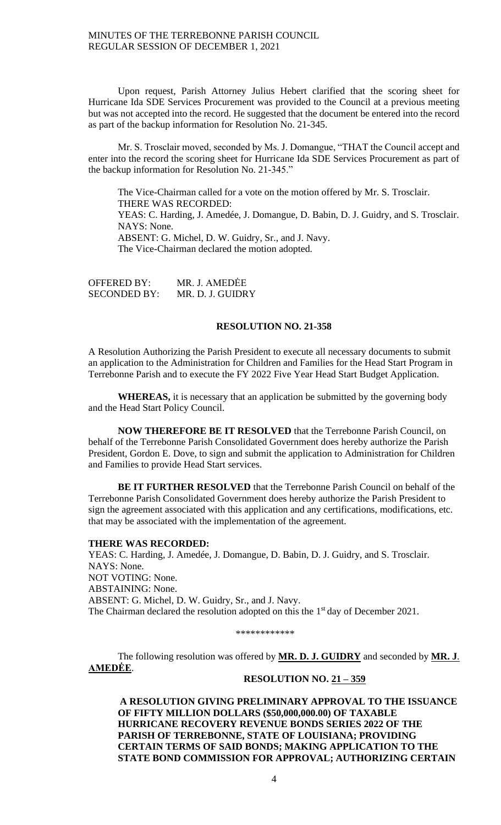Upon request, Parish Attorney Julius Hebert clarified that the scoring sheet for Hurricane Ida SDE Services Procurement was provided to the Council at a previous meeting but was not accepted into the record. He suggested that the document be entered into the record as part of the backup information for Resolution No. 21-345.

Mr. S. Trosclair moved, seconded by Ms. J. Domangue, "THAT the Council accept and enter into the record the scoring sheet for Hurricane Ida SDE Services Procurement as part of the backup information for Resolution No. 21-345."

The Vice-Chairman called for a vote on the motion offered by Mr. S. Trosclair. THERE WAS RECORDED: YEAS: C. Harding, J. Amedée, J. Domangue, D. Babin, D. J. Guidry, and S. Trosclair. NAYS: None. ABSENT: G. Michel, D. W. Guidry, Sr., and J. Navy. The Vice-Chairman declared the motion adopted.

OFFERED BY: MR. J. AMEDĖE SECONDED BY: MR. D. J. GUIDRY

## **RESOLUTION NO. 21-358**

A Resolution Authorizing the Parish President to execute all necessary documents to submit an application to the Administration for Children and Families for the Head Start Program in Terrebonne Parish and to execute the FY 2022 Five Year Head Start Budget Application.

**WHEREAS,** it is necessary that an application be submitted by the governing body and the Head Start Policy Council.

**NOW THEREFORE BE IT RESOLVED** that the Terrebonne Parish Council, on behalf of the Terrebonne Parish Consolidated Government does hereby authorize the Parish President, Gordon E. Dove, to sign and submit the application to Administration for Children and Families to provide Head Start services.

**BE IT FURTHER RESOLVED** that the Terrebonne Parish Council on behalf of the Terrebonne Parish Consolidated Government does hereby authorize the Parish President to sign the agreement associated with this application and any certifications, modifications, etc. that may be associated with the implementation of the agreement.

#### **THERE WAS RECORDED:**

YEAS: C. Harding, J. Amedée, J. Domangue, D. Babin, D. J. Guidry, and S. Trosclair. NAYS: None. NOT VOTING: None. ABSTAINING: None. ABSENT: G. Michel, D. W. Guidry, Sr., and J. Navy. The Chairman declared the resolution adopted on this the 1<sup>st</sup> day of December 2021.

\*\*\*\*\*\*\*\*\*\*\*\*

The following resolution was offered by **MR. D. J. GUIDRY** and seconded by **MR. J**. **AMEDĖE**.

### **RESOLUTION NO. 21 – 359**

**A RESOLUTION GIVING PRELIMINARY APPROVAL TO THE ISSUANCE OF FIFTY MILLION DOLLARS (\$50,000,000.00) OF TAXABLE HURRICANE RECOVERY REVENUE BONDS SERIES 2022 OF THE PARISH OF TERREBONNE, STATE OF LOUISIANA; PROVIDING CERTAIN TERMS OF SAID BONDS; MAKING APPLICATION TO THE STATE BOND COMMISSION FOR APPROVAL; AUTHORIZING CERTAIN**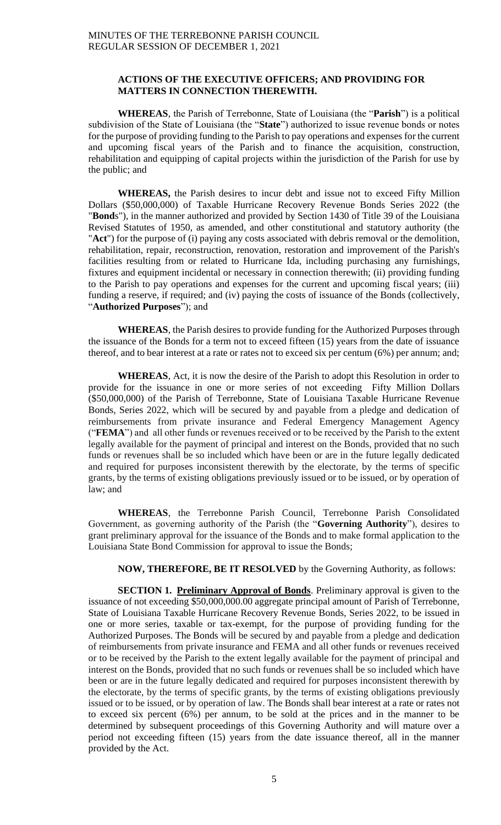### **ACTIONS OF THE EXECUTIVE OFFICERS; AND PROVIDING FOR MATTERS IN CONNECTION THEREWITH.**

**WHEREAS**, the Parish of Terrebonne, State of Louisiana (the "**Parish**") is a political subdivision of the State of Louisiana (the "**State**") authorized to issue revenue bonds or notes for the purpose of providing funding to the Parish to pay operations and expenses for the current and upcoming fiscal years of the Parish and to finance the acquisition, construction, rehabilitation and equipping of capital projects within the jurisdiction of the Parish for use by the public; and

**WHEREAS,** the Parish desires to incur debt and issue not to exceed Fifty Million Dollars (\$50,000,000) of Taxable Hurricane Recovery Revenue Bonds Series 2022 (the "**Bond**s"), in the manner authorized and provided by Section 1430 of Title 39 of the Louisiana Revised Statutes of 1950, as amended, and other constitutional and statutory authority (the "**Act**") for the purpose of (i) paying any costs associated with debris removal or the demolition, rehabilitation, repair, reconstruction, renovation, restoration and improvement of the Parish's facilities resulting from or related to Hurricane Ida, including purchasing any furnishings, fixtures and equipment incidental or necessary in connection therewith; (ii) providing funding to the Parish to pay operations and expenses for the current and upcoming fiscal years; (iii) funding a reserve, if required; and (iv) paying the costs of issuance of the Bonds (collectively, "**Authorized Purposes**"); and

**WHEREAS**, the Parish desires to provide funding for the Authorized Purposes through the issuance of the Bonds for a term not to exceed fifteen (15) years from the date of issuance thereof, and to bear interest at a rate or rates not to exceed six per centum (6%) per annum; and;

**WHEREAS**, Act, it is now the desire of the Parish to adopt this Resolution in order to provide for the issuance in one or more series of not exceeding Fifty Million Dollars (\$50,000,000) of the Parish of Terrebonne, State of Louisiana Taxable Hurricane Revenue Bonds, Series 2022, which will be secured by and payable from a pledge and dedication of reimbursements from private insurance and Federal Emergency Management Agency ("**FEMA**") and all other funds or revenues received or to be received by the Parish to the extent legally available for the payment of principal and interest on the Bonds, provided that no such funds or revenues shall be so included which have been or are in the future legally dedicated and required for purposes inconsistent therewith by the electorate, by the terms of specific grants, by the terms of existing obligations previously issued or to be issued, or by operation of law; and

**WHEREAS**, the Terrebonne Parish Council, Terrebonne Parish Consolidated Government, as governing authority of the Parish (the "**Governing Authority**"), desires to grant preliminary approval for the issuance of the Bonds and to make formal application to the Louisiana State Bond Commission for approval to issue the Bonds;

**NOW, THEREFORE, BE IT RESOLVED** by the Governing Authority, as follows:

**SECTION 1. Preliminary Approval of Bonds**. Preliminary approval is given to the issuance of not exceeding \$50,000,000.00 aggregate principal amount of Parish of Terrebonne, State of Louisiana Taxable Hurricane Recovery Revenue Bonds, Series 2022, to be issued in one or more series, taxable or tax-exempt, for the purpose of providing funding for the Authorized Purposes. The Bonds will be secured by and payable from a pledge and dedication of reimbursements from private insurance and FEMA and all other funds or revenues received or to be received by the Parish to the extent legally available for the payment of principal and interest on the Bonds, provided that no such funds or revenues shall be so included which have been or are in the future legally dedicated and required for purposes inconsistent therewith by the electorate, by the terms of specific grants, by the terms of existing obligations previously issued or to be issued, or by operation of law. The Bonds shall bear interest at a rate or rates not to exceed six percent (6%) per annum, to be sold at the prices and in the manner to be determined by subsequent proceedings of this Governing Authority and will mature over a period not exceeding fifteen (15) years from the date issuance thereof, all in the manner provided by the Act.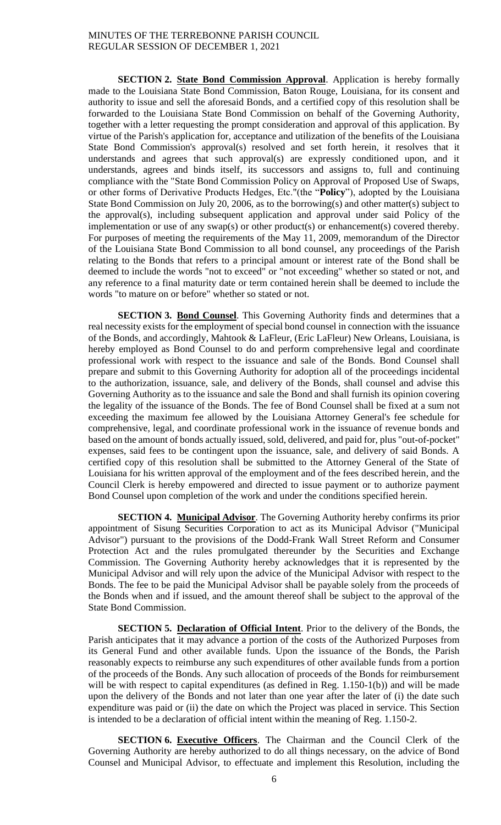**SECTION 2. State Bond Commission Approval**. Application is hereby formally made to the Louisiana State Bond Commission, Baton Rouge, Louisiana, for its consent and authority to issue and sell the aforesaid Bonds, and a certified copy of this resolution shall be forwarded to the Louisiana State Bond Commission on behalf of the Governing Authority, together with a letter requesting the prompt consideration and approval of this application. By virtue of the Parish's application for, acceptance and utilization of the benefits of the Louisiana State Bond Commission's approval(s) resolved and set forth herein, it resolves that it understands and agrees that such approval(s) are expressly conditioned upon, and it understands, agrees and binds itself, its successors and assigns to, full and continuing compliance with the "State Bond Commission Policy on Approval of Proposed Use of Swaps, or other forms of Derivative Products Hedges, Etc."(the "**Policy**"), adopted by the Louisiana State Bond Commission on July 20, 2006, as to the borrowing(s) and other matter(s) subject to the approval(s), including subsequent application and approval under said Policy of the implementation or use of any swap(s) or other product(s) or enhancement(s) covered thereby. For purposes of meeting the requirements of the May 11, 2009, memorandum of the Director of the Louisiana State Bond Commission to all bond counsel, any proceedings of the Parish relating to the Bonds that refers to a principal amount or interest rate of the Bond shall be deemed to include the words "not to exceed" or "not exceeding" whether so stated or not, and any reference to a final maturity date or term contained herein shall be deemed to include the words "to mature on or before" whether so stated or not.

**SECTION 3. Bond Counsel**. This Governing Authority finds and determines that a real necessity exists for the employment of special bond counsel in connection with the issuance of the Bonds, and accordingly, Mahtook & LaFleur, (Eric LaFleur) New Orleans, Louisiana, is hereby employed as Bond Counsel to do and perform comprehensive legal and coordinate professional work with respect to the issuance and sale of the Bonds. Bond Counsel shall prepare and submit to this Governing Authority for adoption all of the proceedings incidental to the authorization, issuance, sale, and delivery of the Bonds, shall counsel and advise this Governing Authority as to the issuance and sale the Bond and shall furnish its opinion covering the legality of the issuance of the Bonds. The fee of Bond Counsel shall be fixed at a sum not exceeding the maximum fee allowed by the Louisiana Attorney General's fee schedule for comprehensive, legal, and coordinate professional work in the issuance of revenue bonds and based on the amount of bonds actually issued, sold, delivered, and paid for, plus "out-of-pocket" expenses, said fees to be contingent upon the issuance, sale, and delivery of said Bonds. A certified copy of this resolution shall be submitted to the Attorney General of the State of Louisiana for his written approval of the employment and of the fees described herein, and the Council Clerk is hereby empowered and directed to issue payment or to authorize payment Bond Counsel upon completion of the work and under the conditions specified herein.

**SECTION 4. Municipal Advisor**. The Governing Authority hereby confirms its prior appointment of Sisung Securities Corporation to act as its Municipal Advisor ("Municipal Advisor") pursuant to the provisions of the Dodd-Frank Wall Street Reform and Consumer Protection Act and the rules promulgated thereunder by the Securities and Exchange Commission. The Governing Authority hereby acknowledges that it is represented by the Municipal Advisor and will rely upon the advice of the Municipal Advisor with respect to the Bonds. The fee to be paid the Municipal Advisor shall be payable solely from the proceeds of the Bonds when and if issued, and the amount thereof shall be subject to the approval of the State Bond Commission.

**SECTION 5. Declaration of Official Intent**. Prior to the delivery of the Bonds, the Parish anticipates that it may advance a portion of the costs of the Authorized Purposes from its General Fund and other available funds. Upon the issuance of the Bonds, the Parish reasonably expects to reimburse any such expenditures of other available funds from a portion of the proceeds of the Bonds. Any such allocation of proceeds of the Bonds for reimbursement will be with respect to capital expenditures (as defined in Reg. 1.150-1(b)) and will be made upon the delivery of the Bonds and not later than one year after the later of (i) the date such expenditure was paid or (ii) the date on which the Project was placed in service. This Section is intended to be a declaration of official intent within the meaning of Reg. 1.150-2.

**SECTION 6. Executive Officers**. The Chairman and the Council Clerk of the Governing Authority are hereby authorized to do all things necessary, on the advice of Bond Counsel and Municipal Advisor, to effectuate and implement this Resolution, including the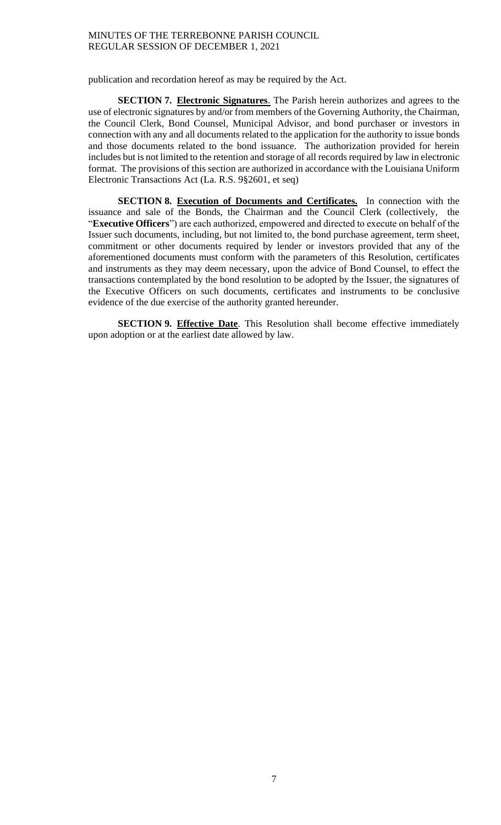publication and recordation hereof as may be required by the Act.

**SECTION 7. Electronic Signatures**. The Parish herein authorizes and agrees to the use of electronic signatures by and/or from members of the Governing Authority, the Chairman, the Council Clerk, Bond Counsel, Municipal Advisor, and bond purchaser or investors in connection with any and all documents related to the application for the authority to issue bonds and those documents related to the bond issuance. The authorization provided for herein includes but is not limited to the retention and storage of all records required by law in electronic format. The provisions of this section are authorized in accordance with the Louisiana Uniform Electronic Transactions Act (La. R.S. 9§2601, et seq)

**SECTION 8. Execution of Documents and Certificates.** In connection with the issuance and sale of the Bonds, the Chairman and the Council Clerk (collectively, the "**Executive Officers**") are each authorized, empowered and directed to execute on behalf of the Issuer such documents, including, but not limited to, the bond purchase agreement, term sheet, commitment or other documents required by lender or investors provided that any of the aforementioned documents must conform with the parameters of this Resolution, certificates and instruments as they may deem necessary, upon the advice of Bond Counsel, to effect the transactions contemplated by the bond resolution to be adopted by the Issuer, the signatures of the Executive Officers on such documents, certificates and instruments to be conclusive evidence of the due exercise of the authority granted hereunder.

**SECTION 9. Effective Date**. This Resolution shall become effective immediately upon adoption or at the earliest date allowed by law.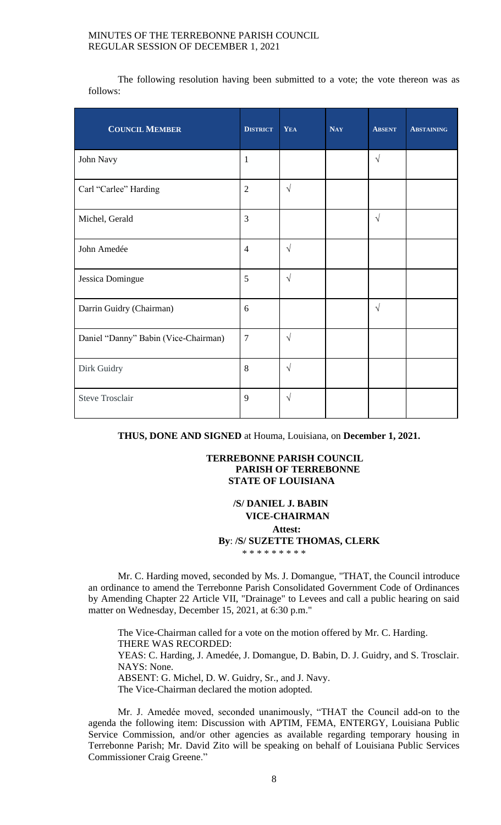The following resolution having been submitted to a vote; the vote thereon was as follows:

| <b>COUNCIL MEMBER</b>                | <b>DISTRICT</b> | YEA        | <b>NAY</b> | <b>ABSENT</b> | <b>ABSTAINING</b> |
|--------------------------------------|-----------------|------------|------------|---------------|-------------------|
| John Navy                            | $\mathbf{1}$    |            |            | $\sqrt{ }$    |                   |
| Carl "Carlee" Harding                | $\overline{2}$  | $\sqrt{ }$ |            |               |                   |
| Michel, Gerald                       | 3               |            |            | $\sqrt{ }$    |                   |
| John Amedée                          | $\overline{4}$  | $\sqrt{ }$ |            |               |                   |
| Jessica Domingue                     | 5               | $\sqrt{ }$ |            |               |                   |
| Darrin Guidry (Chairman)             | 6               |            |            | $\sqrt{ }$    |                   |
| Daniel "Danny" Babin (Vice-Chairman) | $\overline{7}$  | $\sqrt{ }$ |            |               |                   |
| Dirk Guidry                          | 8               | $\sqrt{ }$ |            |               |                   |
| <b>Steve Trosclair</b>               | 9               | $\sqrt{ }$ |            |               |                   |

**THUS, DONE AND SIGNED** at Houma, Louisiana, on **December 1, 2021.**

## **TERREBONNE PARISH COUNCIL PARISH OF TERREBONNE STATE OF LOUISIANA**

# **/S/ DANIEL J. BABIN VICE-CHAIRMAN Attest: By**: **/S/ SUZETTE THOMAS, CLERK** \* \* \* \* \* \* \* \* \*

Mr. C. Harding moved, seconded by Ms. J. Domangue, "THAT, the Council introduce an ordinance to amend the Terrebonne Parish Consolidated Government Code of Ordinances by Amending Chapter 22 Article VII, "Drainage" to Levees and call a public hearing on said matter on Wednesday, December 15, 2021, at 6:30 p.m."

The Vice-Chairman called for a vote on the motion offered by Mr. C. Harding. THERE WAS RECORDED: YEAS: C. Harding, J. Amedée, J. Domangue, D. Babin, D. J. Guidry, and S. Trosclair. NAYS: None. ABSENT: G. Michel, D. W. Guidry, Sr., and J. Navy. The Vice-Chairman declared the motion adopted.

Mr. J. Amedée moved, seconded unanimously, "THAT the Council add-on to the agenda the following item: Discussion with APTIM, FEMA, ENTERGY, Louisiana Public Service Commission, and/or other agencies as available regarding temporary housing in Terrebonne Parish; Mr. David Zito will be speaking on behalf of Louisiana Public Services Commissioner Craig Greene."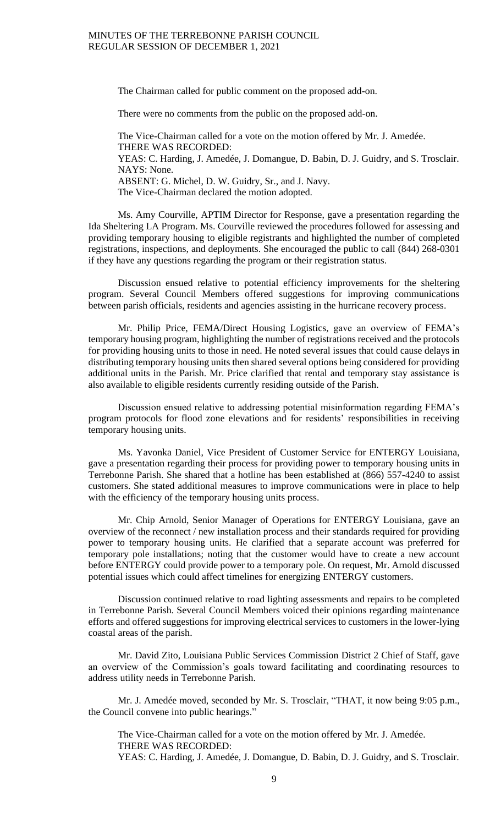The Chairman called for public comment on the proposed add-on.

There were no comments from the public on the proposed add-on.

The Vice-Chairman called for a vote on the motion offered by Mr. J. Amedée. THERE WAS RECORDED: YEAS: C. Harding, J. Amedée, J. Domangue, D. Babin, D. J. Guidry, and S. Trosclair. NAYS: None. ABSENT: G. Michel, D. W. Guidry, Sr., and J. Navy. The Vice-Chairman declared the motion adopted.

Ms. Amy Courville, APTIM Director for Response, gave a presentation regarding the Ida Sheltering LA Program. Ms. Courville reviewed the procedures followed for assessing and providing temporary housing to eligible registrants and highlighted the number of completed registrations, inspections, and deployments. She encouraged the public to call (844) 268-0301 if they have any questions regarding the program or their registration status.

Discussion ensued relative to potential efficiency improvements for the sheltering program. Several Council Members offered suggestions for improving communications between parish officials, residents and agencies assisting in the hurricane recovery process.

Mr. Philip Price, FEMA/Direct Housing Logistics, gave an overview of FEMA's temporary housing program, highlighting the number of registrations received and the protocols for providing housing units to those in need. He noted several issues that could cause delays in distributing temporary housing units then shared several options being considered for providing additional units in the Parish. Mr. Price clarified that rental and temporary stay assistance is also available to eligible residents currently residing outside of the Parish.

Discussion ensued relative to addressing potential misinformation regarding FEMA's program protocols for flood zone elevations and for residents' responsibilities in receiving temporary housing units.

Ms. Yavonka Daniel, Vice President of Customer Service for ENTERGY Louisiana, gave a presentation regarding their process for providing power to temporary housing units in Terrebonne Parish. She shared that a hotline has been established at (866) 557-4240 to assist customers. She stated additional measures to improve communications were in place to help with the efficiency of the temporary housing units process.

Mr. Chip Arnold, Senior Manager of Operations for ENTERGY Louisiana, gave an overview of the reconnect / new installation process and their standards required for providing power to temporary housing units. He clarified that a separate account was preferred for temporary pole installations; noting that the customer would have to create a new account before ENTERGY could provide power to a temporary pole. On request, Mr. Arnold discussed potential issues which could affect timelines for energizing ENTERGY customers.

Discussion continued relative to road lighting assessments and repairs to be completed in Terrebonne Parish. Several Council Members voiced their opinions regarding maintenance efforts and offered suggestions for improving electrical services to customers in the lower-lying coastal areas of the parish.

Mr. David Zito, Louisiana Public Services Commission District 2 Chief of Staff, gave an overview of the Commission's goals toward facilitating and coordinating resources to address utility needs in Terrebonne Parish.

Mr. J. Amedée moved, seconded by Mr. S. Trosclair, "THAT, it now being 9:05 p.m., the Council convene into public hearings."

The Vice-Chairman called for a vote on the motion offered by Mr. J. Amedée. THERE WAS RECORDED: YEAS: C. Harding, J. Amedée, J. Domangue, D. Babin, D. J. Guidry, and S. Trosclair.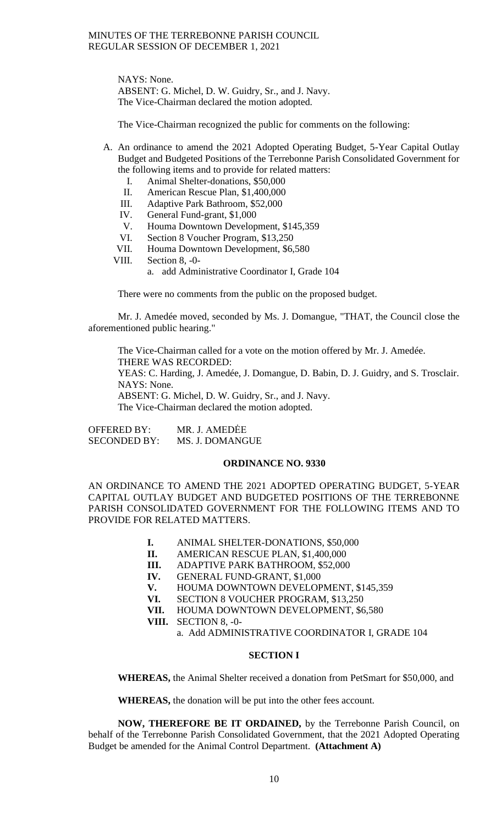NAYS: None. ABSENT: G. Michel, D. W. Guidry, Sr., and J. Navy. The Vice-Chairman declared the motion adopted.

The Vice-Chairman recognized the public for comments on the following:

- A. An ordinance to amend the 2021 Adopted Operating Budget, 5-Year Capital Outlay Budget and Budgeted Positions of the Terrebonne Parish Consolidated Government for the following items and to provide for related matters:
	- I. Animal Shelter-donations, \$50,000
	- II. American Rescue Plan, \$1,400,000
	- III. Adaptive Park Bathroom, \$52,000
	- IV. General Fund-grant, \$1,000
	- V. Houma Downtown Development, \$145,359
	- VI. Section 8 Voucher Program, \$13,250
	- VII. Houma Downtown Development, \$6,580
	- VIII. Section 8, -0
		- a. add Administrative Coordinator I, Grade 104

There were no comments from the public on the proposed budget.

Mr. J. Amedée moved, seconded by Ms. J. Domangue, "THAT, the Council close the aforementioned public hearing."

The Vice-Chairman called for a vote on the motion offered by Mr. J. Amedée. THERE WAS RECORDED: YEAS: C. Harding, J. Amedée, J. Domangue, D. Babin, D. J. Guidry, and S. Trosclair. NAYS: None. ABSENT: G. Michel, D. W. Guidry, Sr., and J. Navy. The Vice-Chairman declared the motion adopted.

OFFERED BY: MR. J. AMEDĖE SECONDED BY: MS. J. DOMANGUE

### **ORDINANCE NO. 9330**

AN ORDINANCE TO AMEND THE 2021 ADOPTED OPERATING BUDGET, 5-YEAR CAPITAL OUTLAY BUDGET AND BUDGETED POSITIONS OF THE TERREBONNE PARISH CONSOLIDATED GOVERNMENT FOR THE FOLLOWING ITEMS AND TO PROVIDE FOR RELATED MATTERS.

- **I.** ANIMAL SHELTER-DONATIONS, \$50,000
- **II.** AMERICAN RESCUE PLAN, \$1,400,000
- **III.** ADAPTIVE PARK BATHROOM, \$52,000 **IV.** GENERAL FUND-GRANT, \$1,000
- **GENERAL FUND-GRANT, \$1,000**
- **V.** HOUMA DOWNTOWN DEVELOPMENT, \$145,359
- **VI.** SECTION 8 VOUCHER PROGRAM, \$13,250
- **VII.** HOUMA DOWNTOWN DEVELOPMENT, \$6,580
- **VIII.** SECTION 8, -0
	- a. Add ADMINISTRATIVE COORDINATOR I, GRADE 104

### **SECTION I**

**WHEREAS,** the Animal Shelter received a donation from PetSmart for \$50,000, and

**WHEREAS,** the donation will be put into the other fees account.

**NOW, THEREFORE BE IT ORDAINED,** by the Terrebonne Parish Council, on behalf of the Terrebonne Parish Consolidated Government, that the 2021 Adopted Operating Budget be amended for the Animal Control Department. **(Attachment A)**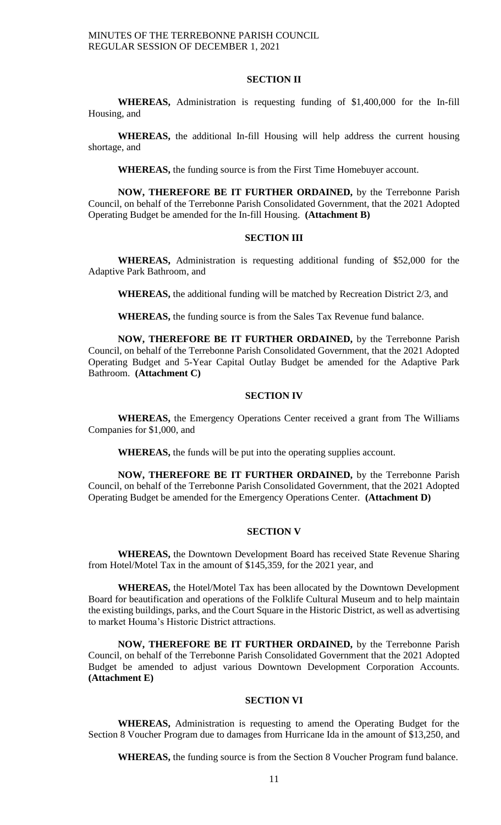#### **SECTION II**

**WHEREAS,** Administration is requesting funding of \$1,400,000 for the In-fill Housing, and

**WHEREAS,** the additional In-fill Housing will help address the current housing shortage, and

**WHEREAS,** the funding source is from the First Time Homebuyer account.

**NOW, THEREFORE BE IT FURTHER ORDAINED,** by the Terrebonne Parish Council, on behalf of the Terrebonne Parish Consolidated Government, that the 2021 Adopted Operating Budget be amended for the In-fill Housing. **(Attachment B)**

# **SECTION III**

**WHEREAS,** Administration is requesting additional funding of \$52,000 for the Adaptive Park Bathroom, and

**WHEREAS,** the additional funding will be matched by Recreation District 2/3, and

**WHEREAS,** the funding source is from the Sales Tax Revenue fund balance.

**NOW, THEREFORE BE IT FURTHER ORDAINED,** by the Terrebonne Parish Council, on behalf of the Terrebonne Parish Consolidated Government, that the 2021 Adopted Operating Budget and 5-Year Capital Outlay Budget be amended for the Adaptive Park Bathroom. **(Attachment C)**

# **SECTION IV**

**WHEREAS,** the Emergency Operations Center received a grant from The Williams Companies for \$1,000, and

**WHEREAS,** the funds will be put into the operating supplies account.

**NOW, THEREFORE BE IT FURTHER ORDAINED,** by the Terrebonne Parish Council, on behalf of the Terrebonne Parish Consolidated Government, that the 2021 Adopted Operating Budget be amended for the Emergency Operations Center. **(Attachment D)**

# **SECTION V**

**WHEREAS,** the Downtown Development Board has received State Revenue Sharing from Hotel/Motel Tax in the amount of \$145,359, for the 2021 year, and

**WHEREAS,** the Hotel/Motel Tax has been allocated by the Downtown Development Board for beautification and operations of the Folklife Cultural Museum and to help maintain the existing buildings, parks, and the Court Square in the Historic District, as well as advertising to market Houma's Historic District attractions.

**NOW, THEREFORE BE IT FURTHER ORDAINED,** by the Terrebonne Parish Council, on behalf of the Terrebonne Parish Consolidated Government that the 2021 Adopted Budget be amended to adjust various Downtown Development Corporation Accounts. **(Attachment E)**

#### **SECTION VI**

**WHEREAS,** Administration is requesting to amend the Operating Budget for the Section 8 Voucher Program due to damages from Hurricane Ida in the amount of \$13,250, and

**WHEREAS,** the funding source is from the Section 8 Voucher Program fund balance.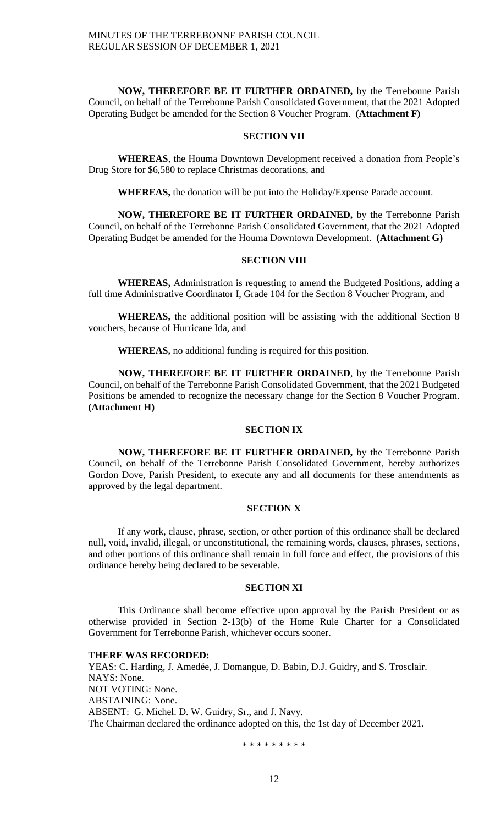**NOW, THEREFORE BE IT FURTHER ORDAINED,** by the Terrebonne Parish Council, on behalf of the Terrebonne Parish Consolidated Government, that the 2021 Adopted Operating Budget be amended for the Section 8 Voucher Program. **(Attachment F)**

# **SECTION VII**

**WHEREAS**, the Houma Downtown Development received a donation from People's Drug Store for \$6,580 to replace Christmas decorations, and

**WHEREAS,** the donation will be put into the Holiday/Expense Parade account.

**NOW, THEREFORE BE IT FURTHER ORDAINED,** by the Terrebonne Parish Council, on behalf of the Terrebonne Parish Consolidated Government, that the 2021 Adopted Operating Budget be amended for the Houma Downtown Development. **(Attachment G)**

# **SECTION VIII**

**WHEREAS,** Administration is requesting to amend the Budgeted Positions, adding a full time Administrative Coordinator I, Grade 104 for the Section 8 Voucher Program, and

**WHEREAS,** the additional position will be assisting with the additional Section 8 vouchers, because of Hurricane Ida, and

**WHEREAS,** no additional funding is required for this position.

**NOW, THEREFORE BE IT FURTHER ORDAINED**, by the Terrebonne Parish Council, on behalf of the Terrebonne Parish Consolidated Government, that the 2021 Budgeted Positions be amended to recognize the necessary change for the Section 8 Voucher Program. **(Attachment H)**

### **SECTION IX**

**NOW, THEREFORE BE IT FURTHER ORDAINED,** by the Terrebonne Parish Council, on behalf of the Terrebonne Parish Consolidated Government, hereby authorizes Gordon Dove, Parish President, to execute any and all documents for these amendments as approved by the legal department.

### **SECTION X**

If any work, clause, phrase, section, or other portion of this ordinance shall be declared null, void, invalid, illegal, or unconstitutional, the remaining words, clauses, phrases, sections, and other portions of this ordinance shall remain in full force and effect, the provisions of this ordinance hereby being declared to be severable.

### **SECTION XI**

This Ordinance shall become effective upon approval by the Parish President or as otherwise provided in Section 2-13(b) of the Home Rule Charter for a Consolidated Government for Terrebonne Parish, whichever occurs sooner.

## **THERE WAS RECORDED:**

YEAS: C. Harding, J. Amedée, J. Domangue, D. Babin, D.J. Guidry, and S. Trosclair. NAYS: None. NOT VOTING: None. ABSTAINING: None. ABSENT: G. Michel. D. W. Guidry, Sr., and J. Navy. The Chairman declared the ordinance adopted on this, the 1st day of December 2021.

\* \* \* \* \* \* \* \* \*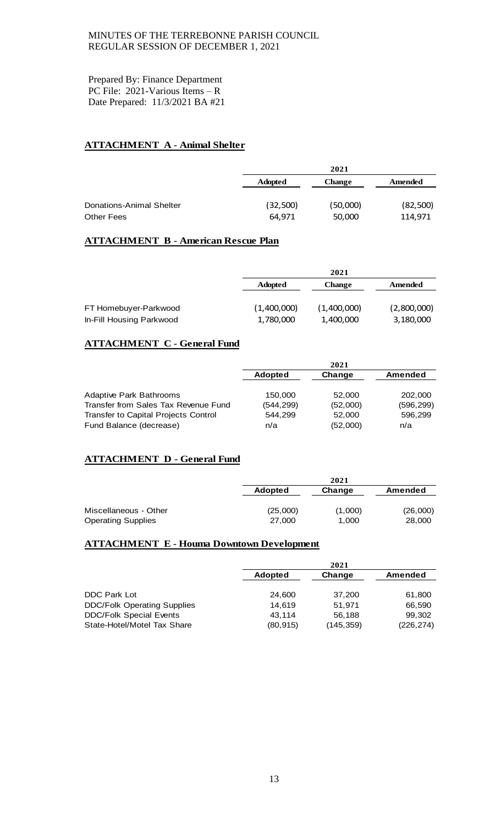Prepared By: Finance Department PC File: 2021-Various Items – R Date Prepared: 11/3/2021 BA #21

# **ATTACHMENT A - Animal Shelter**

|                          |                | 2021          |          |  |  |
|--------------------------|----------------|---------------|----------|--|--|
|                          | <b>Adopted</b> | <b>Change</b> | Amended  |  |  |
| Donations-Animal Shelter | (32,500)       | (50,000)      | (82,500) |  |  |
| <b>Other Fees</b>        | 64.971         | 50,000        | 114,971  |  |  |

# **ATTACHMENT B - American Rescue Plan**

|                          |                | 2021        |             |  |  |
|--------------------------|----------------|-------------|-------------|--|--|
|                          | <b>Adopted</b> | Change      | Amended     |  |  |
|                          |                |             |             |  |  |
| FT Homebuyer-Parkwood    | (1,400,000)    | (1,400,000) | (2,800,000) |  |  |
| In-Fill Housing Parkwood | 1,780,000      | 1,400,000   | 3,180,000   |  |  |

# **ATTACHMENT C - General Fund**

|                                      |                | 2021     |            |
|--------------------------------------|----------------|----------|------------|
|                                      | <b>Adopted</b> | Change   | Amended    |
|                                      |                |          |            |
| <b>Adaptive Park Bathrooms</b>       | 150,000        | 52,000   | 202,000    |
| Transfer from Sales Tax Revenue Fund | (544,299)      | (52,000) | (596, 299) |
| Transfer to Capital Projects Control | 544.299        | 52,000   | 596.299    |
| Fund Balance (decrease)              | n/a            | (52,000) | n/a        |

# **ATTACHMENT D - General Fund**

|                           |                | 2021    |          |  |  |
|---------------------------|----------------|---------|----------|--|--|
|                           | <b>Adopted</b> | Change  | Amended  |  |  |
| Miscellaneous - Other     | (25,000)       | (1,000) | (26,000) |  |  |
| <b>Operating Supplies</b> | 27,000         | 1,000   | 28,000   |  |  |

# **ATTACHMENT E - Houma Downtown Development**

|                                    | 2021           |            |            |  |
|------------------------------------|----------------|------------|------------|--|
|                                    | <b>Adopted</b> | Change     | Amended    |  |
|                                    |                |            |            |  |
| <b>DDC Park Lot</b>                | 24,600         | 37,200     | 61,800     |  |
| <b>DDC/Folk Operating Supplies</b> | 14,619         | 51.971     | 66,590     |  |
| <b>DDC/Folk Special Events</b>     | 43,114         | 56,188     | 99,302     |  |
| State-Hotel/Motel Tax Share        | (80, 915)      | (145, 359) | (226, 274) |  |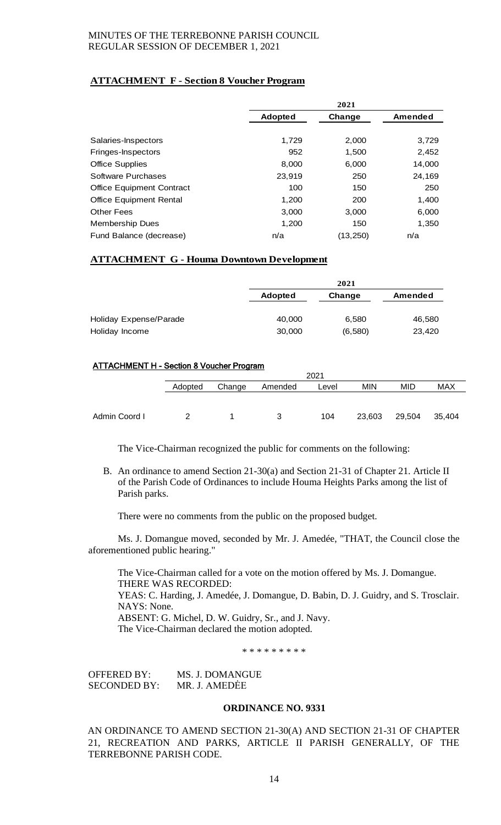# **ATTACHMENT F - Section 8 Voucher Program**

|                                  |                | 2021     |         |
|----------------------------------|----------------|----------|---------|
|                                  | <b>Adopted</b> | Change   | Amended |
|                                  |                |          |         |
| Salaries-Inspectors              | 1.729          | 2,000    | 3,729   |
| Fringes-Inspectors               | 952            | 1,500    | 2,452   |
| <b>Office Supplies</b>           | 8,000          | 6,000    | 14,000  |
| Software Purchases               | 23,919         | 250      | 24,169  |
| <b>Office Equipment Contract</b> | 100            | 150      | 250     |
| <b>Office Equipment Rental</b>   | 1,200          | 200      | 1,400   |
| <b>Other Fees</b>                | 3,000          | 3,000    | 6,000   |
| <b>Membership Dues</b>           | 1,200          | 150      | 1,350   |
| Fund Balance (decrease)          | n/a            | (13,250) | n/a     |

# **ATTACHMENT G - Houma Downtown Development**

|                        |                | 2021    |         |  |  |
|------------------------|----------------|---------|---------|--|--|
|                        | <b>Adopted</b> | Change  | Amended |  |  |
| Holiday Expense/Parade | 40,000         | 6,580   | 46,580  |  |  |
| Holiday Income         | 30,000         | (6,580) | 23,420  |  |  |

# ATTACHMENT H - Section 8 Voucher Program

|               |         | 2021   |         |       |        |            |        |
|---------------|---------|--------|---------|-------|--------|------------|--------|
|               | Adopted | Change | Amended | Level | MIN    | <b>MID</b> | MAX    |
|               |         |        |         |       |        |            |        |
| Admin Coord I |         |        | З       | 104   | 23,603 | 29,504     | 35,404 |

The Vice-Chairman recognized the public for comments on the following:

B. An ordinance to amend Section 21-30(a) and Section 21-31 of Chapter 21. Article II of the Parish Code of Ordinances to include Houma Heights Parks among the list of Parish parks.

There were no comments from the public on the proposed budget.

Ms. J. Domangue moved, seconded by Mr. J. Amedée, "THAT, the Council close the aforementioned public hearing."

The Vice-Chairman called for a vote on the motion offered by Ms. J. Domangue. THERE WAS RECORDED: YEAS: C. Harding, J. Amedée, J. Domangue, D. Babin, D. J. Guidry, and S. Trosclair. NAYS: None. ABSENT: G. Michel, D. W. Guidry, Sr., and J. Navy. The Vice-Chairman declared the motion adopted.

\* \* \* \* \* \* \* \* \*

OFFERED BY: MS. J. DOMANGUE SECONDED BY: MR. J. AMEDĖE

### **ORDINANCE NO. 9331**

AN ORDINANCE TO AMEND SECTION 21-30(A) AND SECTION 21-31 OF CHAPTER 21, RECREATION AND PARKS, ARTICLE II PARISH GENERALLY, OF THE TERREBONNE PARISH CODE.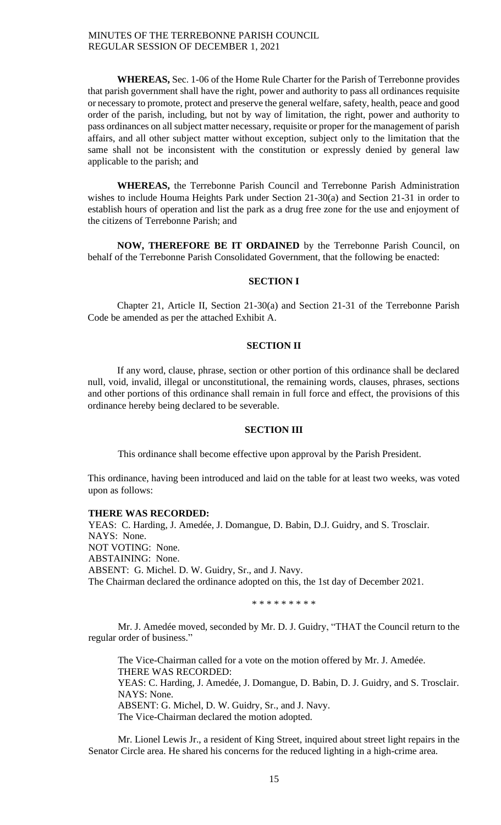**WHEREAS,** Sec. 1-06 of the Home Rule Charter for the Parish of Terrebonne provides that parish government shall have the right, power and authority to pass all ordinances requisite or necessary to promote, protect and preserve the general welfare, safety, health, peace and good order of the parish, including, but not by way of limitation, the right, power and authority to pass ordinances on all subject matter necessary, requisite or proper for the management of parish affairs, and all other subject matter without exception, subject only to the limitation that the same shall not be inconsistent with the constitution or expressly denied by general law applicable to the parish; and

**WHEREAS,** the Terrebonne Parish Council and Terrebonne Parish Administration wishes to include Houma Heights Park under Section 21-30(a) and Section 21-31 in order to establish hours of operation and list the park as a drug free zone for the use and enjoyment of the citizens of Terrebonne Parish; and

**NOW, THEREFORE BE IT ORDAINED** by the Terrebonne Parish Council, on behalf of the Terrebonne Parish Consolidated Government, that the following be enacted:

### **SECTION I**

Chapter 21, Article II, Section 21-30(a) and Section 21-31 of the Terrebonne Parish Code be amended as per the attached Exhibit A.

### **SECTION II**

If any word, clause, phrase, section or other portion of this ordinance shall be declared null, void, invalid, illegal or unconstitutional, the remaining words, clauses, phrases, sections and other portions of this ordinance shall remain in full force and effect, the provisions of this ordinance hereby being declared to be severable.

## **SECTION III**

This ordinance shall become effective upon approval by the Parish President.

This ordinance, having been introduced and laid on the table for at least two weeks, was voted upon as follows:

#### **THERE WAS RECORDED:**

YEAS: C. Harding, J. Amedée, J. Domangue, D. Babin, D.J. Guidry, and S. Trosclair. NAYS: None. NOT VOTING: None. ABSTAINING: None. ABSENT: G. Michel. D. W. Guidry, Sr., and J. Navy. The Chairman declared the ordinance adopted on this, the 1st day of December 2021.

\* \* \* \* \* \* \* \* \*

Mr. J. Amedée moved, seconded by Mr. D. J. Guidry, "THAT the Council return to the regular order of business."

The Vice-Chairman called for a vote on the motion offered by Mr. J. Amedée. THERE WAS RECORDED: YEAS: C. Harding, J. Amedée, J. Domangue, D. Babin, D. J. Guidry, and S. Trosclair. NAYS: None. ABSENT: G. Michel, D. W. Guidry, Sr., and J. Navy. The Vice-Chairman declared the motion adopted.

Mr. Lionel Lewis Jr., a resident of King Street, inquired about street light repairs in the Senator Circle area. He shared his concerns for the reduced lighting in a high-crime area.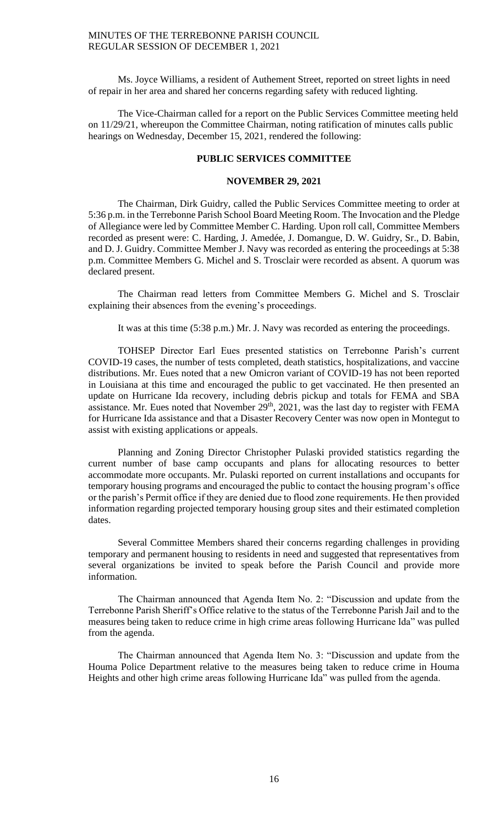Ms. Joyce Williams, a resident of Authement Street, reported on street lights in need of repair in her area and shared her concerns regarding safety with reduced lighting.

The Vice-Chairman called for a report on the Public Services Committee meeting held on 11/29/21, whereupon the Committee Chairman, noting ratification of minutes calls public hearings on Wednesday, December 15, 2021, rendered the following:

# **PUBLIC SERVICES COMMITTEE**

### **NOVEMBER 29, 2021**

The Chairman, Dirk Guidry, called the Public Services Committee meeting to order at 5:36 p.m. in the Terrebonne Parish School Board Meeting Room. The Invocation and the Pledge of Allegiance were led by Committee Member C. Harding. Upon roll call, Committee Members recorded as present were: C. Harding, J. Amedée, J. Domangue, D. W. Guidry, Sr., D. Babin, and D. J. Guidry. Committee Member J. Navy was recorded as entering the proceedings at 5:38 p.m. Committee Members G. Michel and S. Trosclair were recorded as absent. A quorum was declared present.

The Chairman read letters from Committee Members G. Michel and S. Trosclair explaining their absences from the evening's proceedings.

It was at this time (5:38 p.m.) Mr. J. Navy was recorded as entering the proceedings.

TOHSEP Director Earl Eues presented statistics on Terrebonne Parish's current COVID-19 cases, the number of tests completed, death statistics, hospitalizations, and vaccine distributions. Mr. Eues noted that a new Omicron variant of COVID-19 has not been reported in Louisiana at this time and encouraged the public to get vaccinated. He then presented an update on Hurricane Ida recovery, including debris pickup and totals for FEMA and SBA assistance. Mr. Eues noted that November 29<sup>th</sup>, 2021, was the last day to register with FEMA for Hurricane Ida assistance and that a Disaster Recovery Center was now open in Montegut to assist with existing applications or appeals.

Planning and Zoning Director Christopher Pulaski provided statistics regarding the current number of base camp occupants and plans for allocating resources to better accommodate more occupants. Mr. Pulaski reported on current installations and occupants for temporary housing programs and encouraged the public to contact the housing program's office or the parish's Permit office if they are denied due to flood zone requirements. He then provided information regarding projected temporary housing group sites and their estimated completion dates.

Several Committee Members shared their concerns regarding challenges in providing temporary and permanent housing to residents in need and suggested that representatives from several organizations be invited to speak before the Parish Council and provide more information.

The Chairman announced that Agenda Item No. 2: "Discussion and update from the Terrebonne Parish Sheriff's Office relative to the status of the Terrebonne Parish Jail and to the measures being taken to reduce crime in high crime areas following Hurricane Ida" was pulled from the agenda.

The Chairman announced that Agenda Item No. 3: "Discussion and update from the Houma Police Department relative to the measures being taken to reduce crime in Houma Heights and other high crime areas following Hurricane Ida" was pulled from the agenda.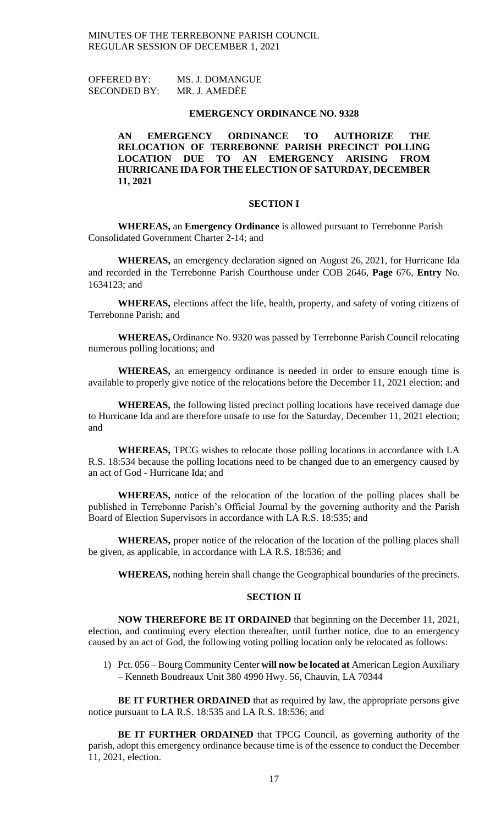OFFERED BY: MS. J. DOMANGUE SECONDED BY: MR. J. AMEDĖE

### **EMERGENCY ORDINANCE NO. 9328**

# **AN EMERGENCY ORDINANCE TO AUTHORIZE THE RELOCATION OF TERREBONNE PARISH PRECINCT POLLING LOCATION DUE TO AN EMERGENCY ARISING FROM HURRICANE IDA FOR THE ELECTION OF SATURDAY, DECEMBER 11, 2021**

### **SECTION I**

**WHEREAS,** an **Emergency Ordinance** is allowed pursuant to Terrebonne Parish Consolidated Government Charter 2-14; and

**WHEREAS,** an emergency declaration signed on August 26, 2021, for Hurricane Ida and recorded in the Terrebonne Parish Courthouse under COB 2646, **Page** 676, **Entry** No. 1634123; and

**WHEREAS,** elections affect the life, health, property, and safety of voting citizens of Terrebonne Parish; and

**WHEREAS,** Ordinance No. 9320 was passed by Terrebonne Parish Council relocating numerous polling locations; and

**WHEREAS,** an emergency ordinance is needed in order to ensure enough time is available to properly give notice of the relocations before the December 11, 2021 election; and

**WHEREAS,** the following listed precinct polling locations have received damage due to Hurricane Ida and are therefore unsafe to use for the Saturday, December 11, 2021 election; and

**WHEREAS,** TPCG wishes to relocate those polling locations in accordance with LA R.S. 18:534 because the polling locations need to be changed due to an emergency caused by an act of God - Hurricane Ida; and

**WHEREAS,** notice of the relocation of the location of the polling places shall be published in Terrebonne Parish's Official Journal by the governing authority and the Parish Board of Election Supervisors in accordance with LA R.S. 18:535; and

**WHEREAS,** proper notice of the relocation of the location of the polling places shall be given, as applicable, in accordance with LA R.S. 18:536; and

**WHEREAS,** nothing herein shall change the Geographical boundaries of the precincts.

# **SECTION II**

**NOW THEREFORE BE IT ORDAINED** that beginning on the December 11, 2021, election, and continuing every election thereafter, until further notice, due to an emergency caused by an act of God, the following voting polling location only be relocated as follows:

1) Pct. 056 – Bourg Community Center **will now be located at** American Legion Auxiliary – Kenneth Boudreaux Unit 380 4990 Hwy. 56, Chauvin, LA 70344

**BE IT FURTHER ORDAINED** that as required by law, the appropriate persons give notice pursuant to LA R.S. 18:535 and LA R.S. 18:536; and

**BE IT FURTHER ORDAINED** that TPCG Council, as governing authority of the parish, adopt this emergency ordinance because time is of the essence to conduct the December 11, 2021, election.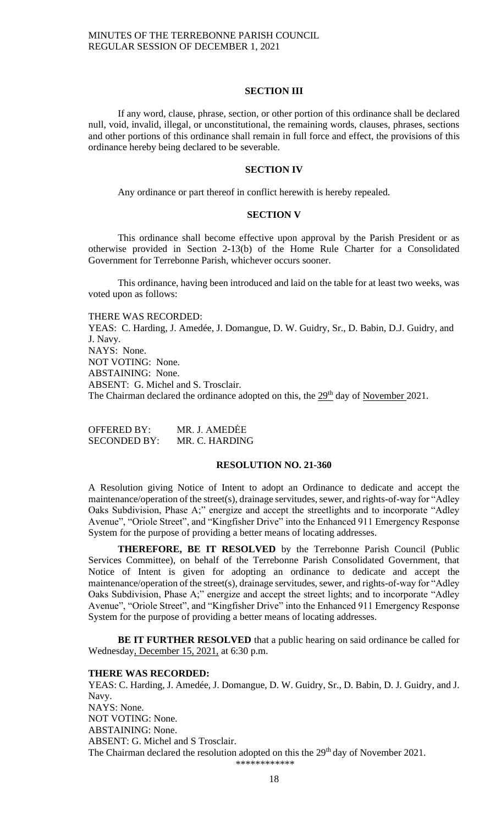#### **SECTION III**

If any word, clause, phrase, section, or other portion of this ordinance shall be declared null, void, invalid, illegal, or unconstitutional, the remaining words, clauses, phrases, sections and other portions of this ordinance shall remain in full force and effect, the provisions of this ordinance hereby being declared to be severable.

#### **SECTION IV**

Any ordinance or part thereof in conflict herewith is hereby repealed.

### **SECTION V**

This ordinance shall become effective upon approval by the Parish President or as otherwise provided in Section 2-13(b) of the Home Rule Charter for a Consolidated Government for Terrebonne Parish, whichever occurs sooner.

This ordinance, having been introduced and laid on the table for at least two weeks, was voted upon as follows:

THERE WAS RECORDED: YEAS: C. Harding, J. Amedée, J. Domangue, D. W. Guidry, Sr., D. Babin, D.J. Guidry, and J. Navy. NAYS: None. NOT VOTING: None. ABSTAINING: None. ABSENT: G. Michel and S. Trosclair. The Chairman declared the ordinance adopted on this, the 29<sup>th</sup> day of November 2021.

OFFERED BY: MR. J. AMEDĖE SECONDED BY: MR. C. HARDING

### **RESOLUTION NO. 21-360**

A Resolution giving Notice of Intent to adopt an Ordinance to dedicate and accept the maintenance/operation of the street(s), drainage servitudes, sewer, and rights-of-way for "Adley Oaks Subdivision, Phase A;" energize and accept the streetlights and to incorporate "Adley Avenue", "Oriole Street", and "Kingfisher Drive" into the Enhanced 911 Emergency Response System for the purpose of providing a better means of locating addresses.

**THEREFORE, BE IT RESOLVED** by the Terrebonne Parish Council (Public Services Committee), on behalf of the Terrebonne Parish Consolidated Government, that Notice of Intent is given for adopting an ordinance to dedicate and accept the maintenance/operation of the street(s), drainage servitudes, sewer, and rights-of-way for "Adley Oaks Subdivision, Phase A;" energize and accept the street lights; and to incorporate "Adley Avenue", "Oriole Street", and "Kingfisher Drive" into the Enhanced 911 Emergency Response System for the purpose of providing a better means of locating addresses.

**BE IT FURTHER RESOLVED** that a public hearing on said ordinance be called for Wednesday, December 15, 2021, at 6:30 p.m.

### **THERE WAS RECORDED:**

YEAS: C. Harding, J. Amedée, J. Domangue, D. W. Guidry, Sr., D. Babin, D. J. Guidry, and J. Navy. NAYS: None. NOT VOTING: None. ABSTAINING: None. ABSENT: G. Michel and S Trosclair. The Chairman declared the resolution adopted on this the 29<sup>th</sup> day of November 2021. \*\*\*\*\*\*\*\*\*\*\*\*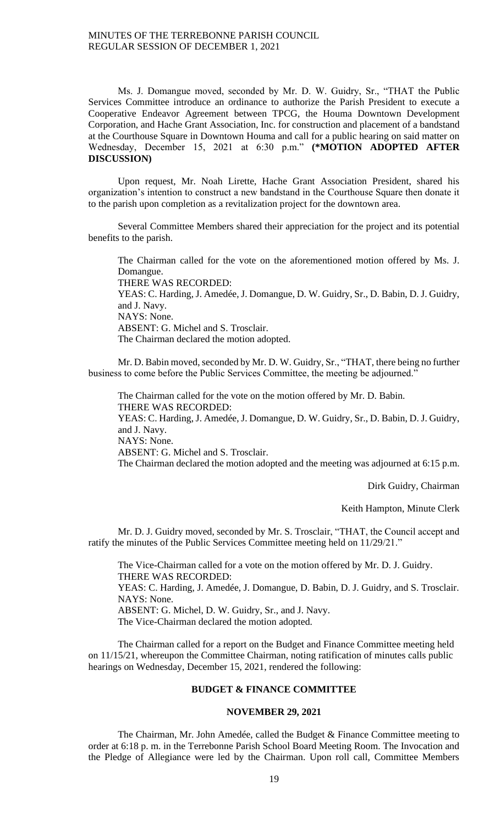Ms. J. Domangue moved, seconded by Mr. D. W. Guidry, Sr., "THAT the Public Services Committee introduce an ordinance to authorize the Parish President to execute a Cooperative Endeavor Agreement between TPCG, the Houma Downtown Development Corporation, and Hache Grant Association, Inc. for construction and placement of a bandstand at the Courthouse Square in Downtown Houma and call for a public hearing on said matter on Wednesday, December 15, 2021 at 6:30 p.m." **(\*MOTION ADOPTED AFTER DISCUSSION)**

Upon request, Mr. Noah Lirette, Hache Grant Association President, shared his organization's intention to construct a new bandstand in the Courthouse Square then donate it to the parish upon completion as a revitalization project for the downtown area.

Several Committee Members shared their appreciation for the project and its potential benefits to the parish.

The Chairman called for the vote on the aforementioned motion offered by Ms. J. Domangue. THERE WAS RECORDED: YEAS: C. Harding, J. Amedée, J. Domangue, D. W. Guidry, Sr., D. Babin, D. J. Guidry, and J. Navy. NAYS: None. ABSENT: G. Michel and S. Trosclair. The Chairman declared the motion adopted.

Mr. D. Babin moved, seconded by Mr. D. W. Guidry, Sr., "THAT, there being no further business to come before the Public Services Committee, the meeting be adjourned."

The Chairman called for the vote on the motion offered by Mr. D. Babin. THERE WAS RECORDED: YEAS: C. Harding, J. Amedée, J. Domangue, D. W. Guidry, Sr., D. Babin, D. J. Guidry, and J. Navy. NAYS: None. ABSENT: G. Michel and S. Trosclair. The Chairman declared the motion adopted and the meeting was adjourned at 6:15 p.m.

Dirk Guidry, Chairman

Keith Hampton, Minute Clerk

Mr. D. J. Guidry moved, seconded by Mr. S. Trosclair, "THAT, the Council accept and ratify the minutes of the Public Services Committee meeting held on 11/29/21."

The Vice-Chairman called for a vote on the motion offered by Mr. D. J. Guidry. THERE WAS RECORDED: YEAS: C. Harding, J. Amedée, J. Domangue, D. Babin, D. J. Guidry, and S. Trosclair. NAYS: None. ABSENT: G. Michel, D. W. Guidry, Sr., and J. Navy. The Vice-Chairman declared the motion adopted.

The Chairman called for a report on the Budget and Finance Committee meeting held on 11/15/21, whereupon the Committee Chairman, noting ratification of minutes calls public hearings on Wednesday, December 15, 2021, rendered the following:

## **BUDGET & FINANCE COMMITTEE**

### **NOVEMBER 29, 2021**

The Chairman, Mr. John Amedée, called the Budget & Finance Committee meeting to order at 6:18 p. m. in the Terrebonne Parish School Board Meeting Room. The Invocation and the Pledge of Allegiance were led by the Chairman. Upon roll call, Committee Members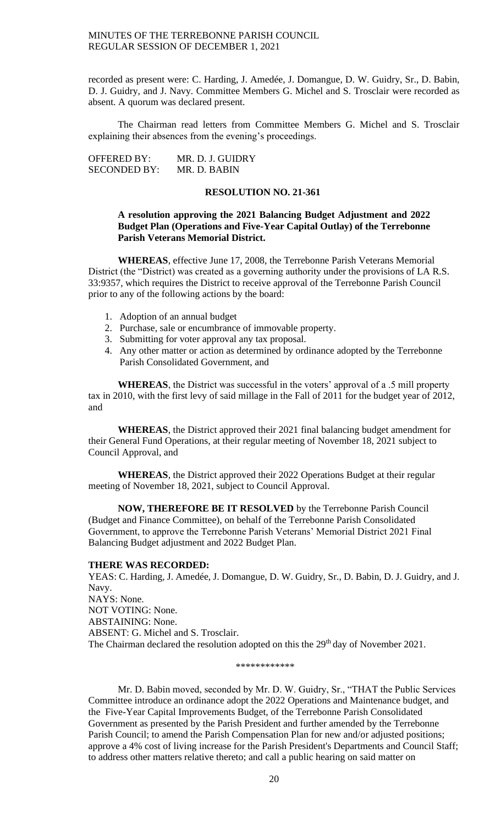recorded as present were: C. Harding, J. Amedée, J. Domangue, D. W. Guidry, Sr., D. Babin, D. J. Guidry, and J. Navy. Committee Members G. Michel and S. Trosclair were recorded as absent. A quorum was declared present.

The Chairman read letters from Committee Members G. Michel and S. Trosclair explaining their absences from the evening's proceedings.

OFFERED BY: MR. D. J. GUIDRY SECONDED BY: MR. D. BABIN

## **RESOLUTION NO. 21-361**

## **A resolution approving the 2021 Balancing Budget Adjustment and 2022 Budget Plan (Operations and Five-Year Capital Outlay) of the Terrebonne Parish Veterans Memorial District.**

**WHEREAS**, effective June 17, 2008, the Terrebonne Parish Veterans Memorial District (the "District) was created as a governing authority under the provisions of LA R.S. 33:9357, which requires the District to receive approval of the Terrebonne Parish Council prior to any of the following actions by the board:

- 1. Adoption of an annual budget
- 2. Purchase, sale or encumbrance of immovable property.
- 3. Submitting for voter approval any tax proposal.
- 4. Any other matter or action as determined by ordinance adopted by the Terrebonne Parish Consolidated Government, and

**WHEREAS**, the District was successful in the voters' approval of a .5 mill property tax in 2010, with the first levy of said millage in the Fall of 2011 for the budget year of 2012, and

**WHEREAS**, the District approved their 2021 final balancing budget amendment for their General Fund Operations, at their regular meeting of November 18, 2021 subject to Council Approval, and

**WHEREAS**, the District approved their 2022 Operations Budget at their regular meeting of November 18, 2021, subject to Council Approval.

**NOW, THEREFORE BE IT RESOLVED** by the Terrebonne Parish Council (Budget and Finance Committee), on behalf of the Terrebonne Parish Consolidated Government, to approve the Terrebonne Parish Veterans' Memorial District 2021 Final Balancing Budget adjustment and 2022 Budget Plan.

### **THERE WAS RECORDED:**

YEAS: C. Harding, J. Amedée, J. Domangue, D. W. Guidry, Sr., D. Babin, D. J. Guidry, and J. Navy. NAYS: None. NOT VOTING: None. ABSTAINING: None. ABSENT: G. Michel and S. Trosclair. The Chairman declared the resolution adopted on this the 29<sup>th</sup> day of November 2021.

\*\*\*\*\*\*\*\*\*\*\*\*

Mr. D. Babin moved, seconded by Mr. D. W. Guidry, Sr., "THAT the Public Services Committee introduce an ordinance adopt the 2022 Operations and Maintenance budget, and the Five-Year Capital Improvements Budget, of the Terrebonne Parish Consolidated Government as presented by the Parish President and further amended by the Terrebonne Parish Council; to amend the Parish Compensation Plan for new and/or adjusted positions; approve a 4% cost of living increase for the Parish President's Departments and Council Staff; to address other matters relative thereto; and call a public hearing on said matter on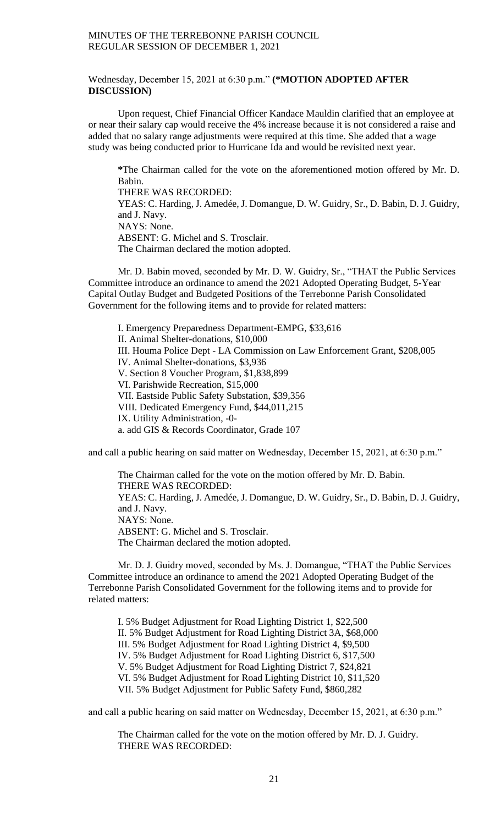### Wednesday, December 15, 2021 at 6:30 p.m." **(\*MOTION ADOPTED AFTER DISCUSSION)**

Upon request, Chief Financial Officer Kandace Mauldin clarified that an employee at or near their salary cap would receive the 4% increase because it is not considered a raise and added that no salary range adjustments were required at this time. She added that a wage study was being conducted prior to Hurricane Ida and would be revisited next year.

**\***The Chairman called for the vote on the aforementioned motion offered by Mr. D. Babin. THERE WAS RECORDED: YEAS: C. Harding, J. Amedée, J. Domangue, D. W. Guidry, Sr., D. Babin, D. J. Guidry, and J. Navy. NAYS: None. ABSENT: G. Michel and S. Trosclair. The Chairman declared the motion adopted.

Mr. D. Babin moved, seconded by Mr. D. W. Guidry, Sr., "THAT the Public Services Committee introduce an ordinance to amend the 2021 Adopted Operating Budget, 5-Year Capital Outlay Budget and Budgeted Positions of the Terrebonne Parish Consolidated Government for the following items and to provide for related matters:

I. Emergency Preparedness Department-EMPG, \$33,616 II. Animal Shelter-donations, \$10,000 III. Houma Police Dept - LA Commission on Law Enforcement Grant, \$208,005 IV. Animal Shelter-donations, \$3,936 V. Section 8 Voucher Program, \$1,838,899 VI. Parishwide Recreation, \$15,000 VII. Eastside Public Safety Substation, \$39,356 VIII. Dedicated Emergency Fund, \$44,011,215 IX. Utility Administration, -0 a. add GIS & Records Coordinator, Grade 107

and call a public hearing on said matter on Wednesday, December 15, 2021, at 6:30 p.m."

The Chairman called for the vote on the motion offered by Mr. D. Babin. THERE WAS RECORDED: YEAS: C. Harding, J. Amedée, J. Domangue, D. W. Guidry, Sr., D. Babin, D. J. Guidry, and J. Navy. NAYS: None. ABSENT: G. Michel and S. Trosclair. The Chairman declared the motion adopted.

Mr. D. J. Guidry moved, seconded by Ms. J. Domangue, "THAT the Public Services Committee introduce an ordinance to amend the 2021 Adopted Operating Budget of the Terrebonne Parish Consolidated Government for the following items and to provide for related matters:

I. 5% Budget Adjustment for Road Lighting District 1, \$22,500 II. 5% Budget Adjustment for Road Lighting District 3A, \$68,000 III. 5% Budget Adjustment for Road Lighting District 4, \$9,500 IV. 5% Budget Adjustment for Road Lighting District 6, \$17,500 V. 5% Budget Adjustment for Road Lighting District 7, \$24,821 VI. 5% Budget Adjustment for Road Lighting District 10, \$11,520 VII. 5% Budget Adjustment for Public Safety Fund, \$860,282

and call a public hearing on said matter on Wednesday, December 15, 2021, at 6:30 p.m."

The Chairman called for the vote on the motion offered by Mr. D. J. Guidry. THERE WAS RECORDED: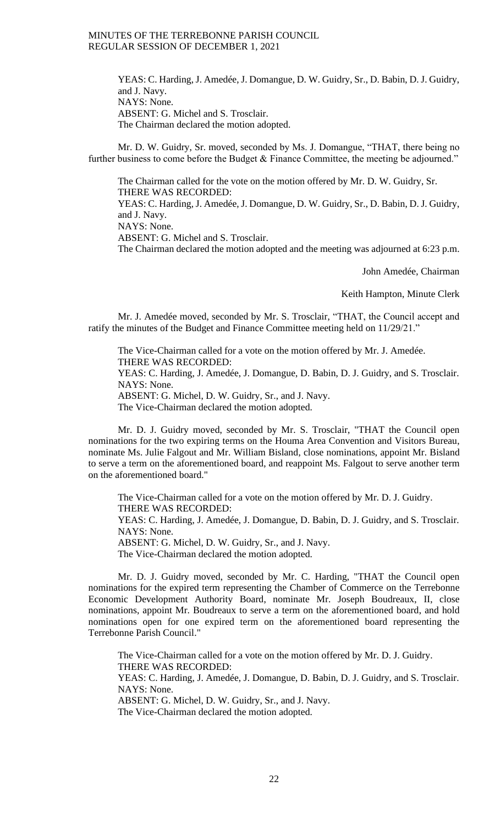YEAS: C. Harding, J. Amedée, J. Domangue, D. W. Guidry, Sr., D. Babin, D. J. Guidry, and J. Navy. NAYS: None. ABSENT: G. Michel and S. Trosclair. The Chairman declared the motion adopted.

Mr. D. W. Guidry, Sr. moved, seconded by Ms. J. Domangue, "THAT, there being no further business to come before the Budget & Finance Committee, the meeting be adjourned."

The Chairman called for the vote on the motion offered by Mr. D. W. Guidry, Sr. THERE WAS RECORDED:

YEAS: C. Harding, J. Amedée, J. Domangue, D. W. Guidry, Sr., D. Babin, D. J. Guidry, and J. Navy.

NAYS: None.

ABSENT: G. Michel and S. Trosclair.

The Chairman declared the motion adopted and the meeting was adjourned at 6:23 p.m.

John Amedée, Chairman

Keith Hampton, Minute Clerk

Mr. J. Amedée moved, seconded by Mr. S. Trosclair, "THAT, the Council accept and ratify the minutes of the Budget and Finance Committee meeting held on 11/29/21."

The Vice-Chairman called for a vote on the motion offered by Mr. J. Amedée. THERE WAS RECORDED:

YEAS: C. Harding, J. Amedée, J. Domangue, D. Babin, D. J. Guidry, and S. Trosclair. NAYS: None.

ABSENT: G. Michel, D. W. Guidry, Sr., and J. Navy.

The Vice-Chairman declared the motion adopted.

Mr. D. J. Guidry moved, seconded by Mr. S. Trosclair, "THAT the Council open nominations for the two expiring terms on the Houma Area Convention and Visitors Bureau, nominate Ms. Julie Falgout and Mr. William Bisland, close nominations, appoint Mr. Bisland to serve a term on the aforementioned board, and reappoint Ms. Falgout to serve another term on the aforementioned board."

The Vice-Chairman called for a vote on the motion offered by Mr. D. J. Guidry. THERE WAS RECORDED: YEAS: C. Harding, J. Amedée, J. Domangue, D. Babin, D. J. Guidry, and S. Trosclair. NAYS: None. ABSENT: G. Michel, D. W. Guidry, Sr., and J. Navy. The Vice-Chairman declared the motion adopted.

Mr. D. J. Guidry moved, seconded by Mr. C. Harding, "THAT the Council open nominations for the expired term representing the Chamber of Commerce on the Terrebonne Economic Development Authority Board, nominate Mr. Joseph Boudreaux, II, close nominations, appoint Mr. Boudreaux to serve a term on the aforementioned board, and hold nominations open for one expired term on the aforementioned board representing the Terrebonne Parish Council."

The Vice-Chairman called for a vote on the motion offered by Mr. D. J. Guidry. THERE WAS RECORDED: YEAS: C. Harding, J. Amedée, J. Domangue, D. Babin, D. J. Guidry, and S. Trosclair. NAYS: None. ABSENT: G. Michel, D. W. Guidry, Sr., and J. Navy. The Vice-Chairman declared the motion adopted.